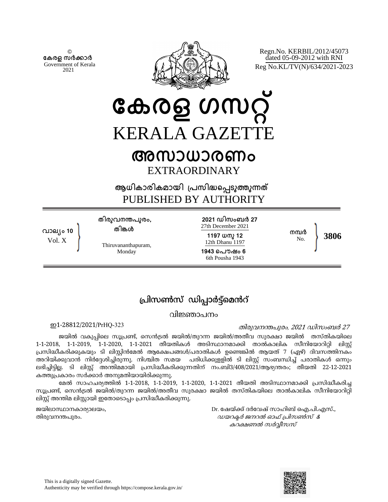© **േകരള സർകാർ** Government of Kerala 2021

**വാല്ം 10** Vol. X



Regn.No. KERBIL/2012/45073 dated 05-09-2012 with RNI Reg No.KL/TV(N)/634/2021-2023

**േകരള ഗസറ് KERALA GAZETT** 

# **അസാധാരണം** EXTRAORDINARY

**ആധികാരികമായി ്പസിദെപടുതുനത** PUBLISHED BY AUTHORITY

**തിരുവനനപുരം,**

**തിങള**

Monday

**2021 ഡിസംബർ 27** 27th December 2021

**1197 ധനു 12** 12th Dhanu 1197 **1943 െപൗഷം 6** 6th Pousha 1943

**നമർ** No. **3806**

Thiruvananthapuram,

## പ്രിസൺസ് ഡിപ്പാർട്ട്മെൻറ്

വിജ്ഞാപനം

ഇ തിരുവനപുരം*,* <sup>2021</sup> ഡിസംബർ 27 1-28812/2021/PrHQ-323

ജയിൽ വകുപ്പിലെ സൂപ്രണ്ട്, സെൻട്രൽ ജയിൽ/തുറന്ന ജയിൽ/അതീവ സുരക്ഷാ ജയിൽ തസ്തികയിലെ 1-1-2018, 1-1-2019, 1-1-2020, 1-1-2021 തീയതികൾ അടിസ്ഥാനമാക്കി താൽകാലിക സീനിയോറിറ്റി ലിസ്റ്റ് പ്രസിദ്ധീകരിക്കുകയും ടി ലിസ്റ്റിൻമേൽ ആക്ഷേപങ്ങൾ/പരാതികൾ ഉണ്ടെങ്കിൽ ആയത് 7 (ഏഴ്) ദിവസത്തിനകം അറിയിക്കുവാൻ നിർദേശിച്ചിരുന്നു. നിശ്ചിത സമയ പരിധിക്കുള്ളിൽ ടി ലിസ്റ്റ് സംബന്ധിച്ച് പരാതികൾ ഒന്നും ലഭിച്ചിട്ടില്ല. ടി ലിസ്റ്റ് അന്തിമമായി പ്രസിദ്ധീകരിക്കുന്നതിന് നം.ബി3/408/2021/ആഭ്യന്തരം; തീയതി 22-12-2021 കത്തുപ്രകാരം സർക്കാർ അനുമതിയായിരിക്കുന്നു.

മേൽ സാഹചര്യത്തിൽ 1-1-2018, 1-1-2019, 1-1-2020, 1-1-2021 തീയതി അടിസ്ഥാനമാക്കി പ്രസിദ്ധീകരിച്ച സൂപ്രണ്ട്, സെൻട്രൽ ജയിൽ/തുറന്ന ജയിൽ/അതീവ സുരക്ഷാ ജയിൽ തസ്തികയിലെ താൽകാലിക സീനിയോറിറ്റി ലിസ്റ്റ് അന്തിമ ലിസ്റ്റായി ഇതോടൊപ്പം പ്രസിദ്ധീകരിക്കുന്നു.

ജയിലാാനകാരാലയം, Dr. േഷയ്്ദർേവഷ് സാഹിബ് ഐ.പി.എസ്., തിരുവനപുരം. ഡയറർ ജനറൽ ഓഫ് പിസൺസ് & കറക്ഷണൽ സർവ്വീസസ്

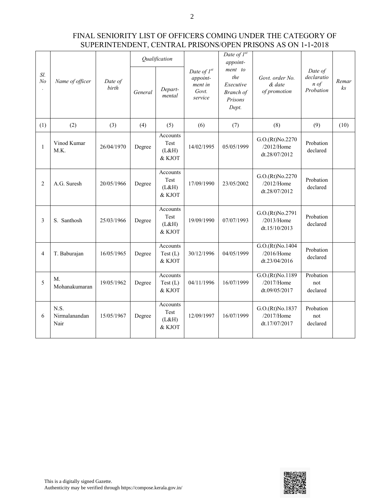|                       |                               | Date of<br>birth | Qualification |                                     |                                                             | Date of $I^{st}$<br>appoint-                                 |                                                                                |                                                       |             |
|-----------------------|-------------------------------|------------------|---------------|-------------------------------------|-------------------------------------------------------------|--------------------------------------------------------------|--------------------------------------------------------------------------------|-------------------------------------------------------|-------------|
| Sl.<br>N <sub>o</sub> | Name of officer               |                  | General       | Depart-<br>mental                   | Date of $I^{st}$<br>appoint-<br>ment in<br>Govt.<br>service | ment to<br>the<br>Executive<br>Branch of<br>Prisons<br>Dept. | Govt. order No.<br>& date<br>of promotion                                      | Date of<br>declaratio<br>$n \text{ of }$<br>Probation | Remar<br>ks |
| (1)                   | (2)                           | (3)              | (4)           | (5)                                 | (6)                                                         | (7)                                                          | (8)                                                                            | (9)                                                   | (10)        |
| $\mathbf{1}$          | Vinod Kumar<br>M.K.           | 26/04/1970       | Degree        | Accounts<br>Test<br>(L&H)<br>& KJOT | 14/02/1995                                                  | 05/05/1999                                                   | G.O.(Rt)No.2270<br>$/2012$ /Home<br>dt.28/07/2012                              | Probation<br>declared                                 |             |
| 2                     | A.G. Suresh                   | 20/05/1966       | Degree        | Accounts<br>Test<br>(L&H)<br>& KJOT | 17/09/1990                                                  | 23/05/2002                                                   | G.O.(Rt)No.2270<br>$/2012$ /Home<br>dt.28/07/2012                              | Probation<br>declared                                 |             |
| 3                     | S. Santhosh                   | 25/03/1966       | Degree        | Accounts<br>Test<br>(L&H)<br>& KJOT | 19/09/1990                                                  | 07/07/1993                                                   | G.O.(Rt)No.2791<br>$/2013$ /Home<br>dt.15/10/2013                              | Probation<br>declared                                 |             |
| $\overline{4}$        | T. Baburajan                  | 16/05/1965       | Degree        | Accounts<br>Test(L)<br>& KJOT       | 30/12/1996                                                  | 04/05/1999                                                   | G.O.(Rt)No.1404<br>/2016/Home<br>dt.23/04/2016                                 | Probation<br>declared                                 |             |
| 5                     | $M_{\cdot}$<br>Mohanakumaran  | 19/05/1962       | Degree        | Accounts<br>Test(L)<br>& KJOT       | 04/11/1996                                                  | 16/07/1999                                                   | G.O.(Rt)No.1189<br>/2017/Home<br>dt.09/05/2017                                 | Probation<br>not<br>declared                          |             |
| 6                     | N.S.<br>Nirmalanandan<br>Nair | 15/05/1967       | Degree        | Accounts<br>Test<br>(L&H)<br>& KJOT | 12/09/1997                                                  | 16/07/1999                                                   | G.O.(Rt)No.1837<br>Probation<br>/2017/Home<br>not<br>dt.17/07/2017<br>declared |                                                       |             |

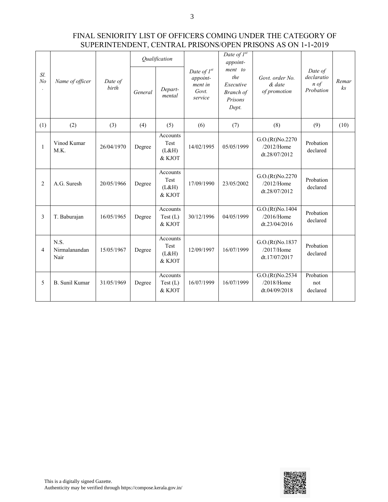| Sl.<br>N <sub>o</sub> | Name of officer               | Date of<br>birth | Qualification |                                     |                                                             | Date of $I^{st}$<br>appoint-                                 |                                                   |                                                       |                         |
|-----------------------|-------------------------------|------------------|---------------|-------------------------------------|-------------------------------------------------------------|--------------------------------------------------------------|---------------------------------------------------|-------------------------------------------------------|-------------------------|
|                       |                               |                  | General       | Depart-<br>mental                   | Date of $I^{st}$<br>appoint-<br>ment in<br>Govt.<br>service | ment to<br>the<br>Executive<br>Branch of<br>Prisons<br>Dept. | Govt. order No.<br>& date<br>of promotion         | Date of<br>declaratio<br>$n \text{ of }$<br>Probation | Remar<br>k <sub>S</sub> |
| (1)                   | (2)                           | (3)              | (4)           | (5)                                 | (6)                                                         | (7)                                                          | (8)                                               | (9)                                                   | (10)                    |
| 1                     | Vinod Kumar<br>M.K.           | 26/04/1970       | Degree        | Accounts<br>Test<br>(L&H)<br>& KJOT | 14/02/1995                                                  | 05/05/1999                                                   | G.O.(Rt)No.2270<br>$/2012$ /Home<br>dt.28/07/2012 | Probation<br>declared                                 |                         |
| 2                     | A.G. Suresh                   | 20/05/1966       | Degree        | Accounts<br>Test<br>(L&H)<br>& KJOT | 17/09/1990                                                  | 23/05/2002                                                   | G.O.(Rt)No.2270<br>$/2012$ /Home<br>dt.28/07/2012 | Probation<br>declared                                 |                         |
| 3                     | T. Baburajan                  | 16/05/1965       | Degree        | Accounts<br>Test (L)<br>& KJOT      | 30/12/1996                                                  | 04/05/1999                                                   | G.O.(Rt)No.1404<br>$/2016$ /Home<br>dt.23/04/2016 | Probation<br>declared                                 |                         |
| $\overline{4}$        | N.S.<br>Nirmalanandan<br>Nair | 15/05/1967       | Degree        | Accounts<br>Test<br>(L&H)<br>& KJOT | 12/09/1997                                                  | 16/07/1999                                                   | G.O.(Rt)No.1837<br>/2017/Home<br>dt.17/07/2017    | Probation<br>declared                                 |                         |
| 5                     | <b>B.</b> Sunil Kumar         | 31/05/1969       | Degree        | Accounts<br>Test (L)<br>& KJOT      | 16/07/1999                                                  | 16/07/1999                                                   | G.O.(Rt)No.2534<br>/2018/Home<br>dt.04/09/2018    | Probation<br>not<br>declared                          |                         |

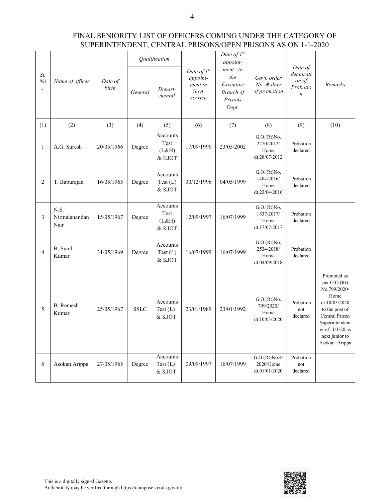4

| Sl.<br>N <sub>o</sub> | Name of officer               | Date of<br>birth | Qualification |                                       |                                                             | Date of $I^{st}$<br>appoint-                                        |                                                    |                                                               |                                                                                                                                                                                     |
|-----------------------|-------------------------------|------------------|---------------|---------------------------------------|-------------------------------------------------------------|---------------------------------------------------------------------|----------------------------------------------------|---------------------------------------------------------------|-------------------------------------------------------------------------------------------------------------------------------------------------------------------------------------|
|                       |                               |                  | General       | Depart-<br>mental                     | Date of $I^{st}$<br>appoint-<br>ment in<br>Govt.<br>service | ment to<br>the<br>Executive<br><b>Branch</b> of<br>Prisons<br>Dept. | Govt. order<br>No. & date<br>of promotion          | Date of<br>declarati<br>on of<br>Probatio<br>$\boldsymbol{n}$ | Remarks                                                                                                                                                                             |
| (1)                   | (2)                           | (3)              | (4)           | (5)                                   | (6)                                                         | (7)                                                                 | (8)                                                | (9)                                                           | (10)                                                                                                                                                                                |
| 1                     | A.G. Suresh                   | 20/05/1966       | Degree        | Accounts<br>Test<br>(L&H)<br>$&$ KJOT | 17/09/1990                                                  | 23/05/2002                                                          | G.O.(Rt)No.<br>2270/2012/<br>Home<br>dt.28/07/2012 | Probation<br>declared                                         |                                                                                                                                                                                     |
| $\sqrt{2}$            | T. Baburajan                  | 16/05/1965       | Degree        | Accounts<br>Test (L)<br>& KJOT        | 30/12/1996                                                  | 04/05/1999                                                          | G.O.(Rt)No.<br>1404/2016/<br>Home<br>dt.23/04/2016 | Probation<br>declared                                         |                                                                                                                                                                                     |
| $\mathfrak{Z}$        | N.S.<br>Nirmalanandan<br>Nair | 15/05/1967       | Degree        | Accounts<br>Test<br>(L&H)<br>& KJOT   | 12/09/1997                                                  | 16/07/1999                                                          | G.O.(Rt)No.<br>1837/2017/<br>Home<br>dt.17/07/2017 | Probation<br>declared                                         |                                                                                                                                                                                     |
| $\overline{4}$        | B. Sunil<br>Kumar             | 31/05/1969       | Degree        | Accounts<br>Test (L)<br>& KJOT        | 16/07/1999                                                  | 16/07/1999                                                          | G.O.(Rt)No.<br>2534/2018/<br>Home<br>dt.04/09/2018 | Probation<br>declared                                         |                                                                                                                                                                                     |
| 5                     | B. Remesh<br>Kumar            | 25/05/1967       | <b>SSLC</b>   | Accounts<br>Test(L)<br>& KJOT         | 23/01/1989                                                  | 23/01/1992                                                          | G.O.(Rt)No.<br>799/2020/<br>Home<br>dt.10/03/2020  | Probation<br>not<br>declared                                  | Promoted as<br>per $G.O.(Rt)$<br>No.799/2020/<br>Home<br>dt.10/03/2020<br>to the post of<br>Central Prison<br>Superintendent<br>w.e.f. 1/1/20 as<br>next junior to<br>Asokan Arippa |
| 6                     | Asokan Arippa                 | 27/05/1965       | Degree        | Accounts<br>Test $(L)$<br>& KJOT      | 09/09/1997                                                  | 16/07/1999                                                          | G.O.(Rt)No.4/<br>2020/Home<br>dt.01/01/2020        | Probation<br>not<br>declared                                  |                                                                                                                                                                                     |